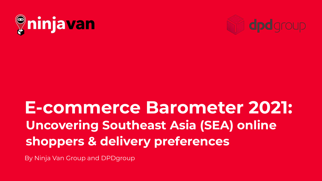



# **E-commerce Barometer 2021: Uncovering Southeast Asia (SEA) online shoppers & delivery preferences**

By Ninja Van Group and DPDgroup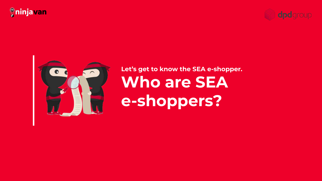





## **Let's get to know the SEA e-shopper. Who are SEA e-shoppers?**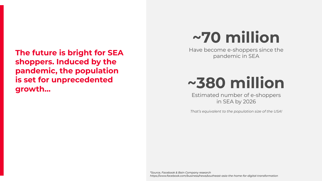**The future is bright for SEA shoppers. Induced by the pandemic, the population is set for unprecedented growth…**

# **~70 million**

Have become e-shoppers since the pandemic in SEA

# **~380 million**

Estimated number of e-shoppers in SEA by 2026

*That's equivalent to the population size of the USA!*

*\*Source, Facebook & Bain Company research https://www.facebook.com/business/news/southeast-asia-the-home-for-digital-transformation*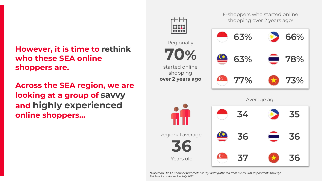## **However, it is time to rethink who these SEA online shoppers are.**

**Across the SEA region, we are looking at a group of savvy and highly experienced online shoppers…**

**70%** started online shopping **over 2 years ago 63% 66% 63% 78% 77% 73%** Regionally E-shoppers who started online shopping over 2 years ago\* **36** Years old Regional average **34 35 36 36 37 36** Average age

PRIVATE AND CONFIDENTIAL *\*Based on DPD e-shopper barometer study; data gathered from over 9,000 respondents through fieldwork conducted in July 2021*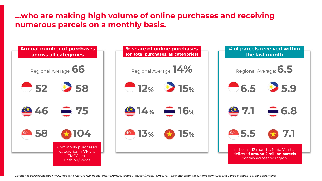#### **…who are making high volume of online purchases and receiving numerous parcels on a monthly basis.**

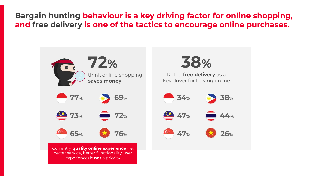**Bargain hunting behaviour is a key driving factor for online shopping, and free delivery is one of the tactics to encourage online purchases.**

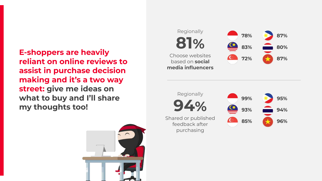**E-shoppers are heavily reliant on online reviews to assist in purchase decision making and it's a two way street: give me ideas on what to buy and I'll share my thoughts too!**





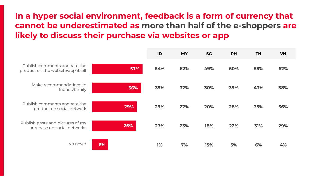## **In a hyper social environment, feedback is a form of currency that cannot be underestimated as more than half of the e-shoppers are likely to discuss their purchase via websites or app**

|                                                                    |     | ID  | <b>MY</b> | <b>SG</b> | <b>PH</b> | <b>TH</b> | <b>VN</b> |
|--------------------------------------------------------------------|-----|-----|-----------|-----------|-----------|-----------|-----------|
| Publish comments and rate the<br>product on the website/app itself | 57% | 54% | 62%       | 49%       | 60%       | 53%       | 62%       |
| Make recommendations to<br>friends/family                          | 36% | 35% | 32%       | 30%       | 39%       | 43%       | 38%       |
| Publish comments and rate the<br>product on social network         | 29% | 29% | 27%       | 20%       | 28%       | 35%       | 36%       |
| Publish posts and pictures of my<br>purchase on social networks    | 25% | 27% | 23%       | 18%       | 22%       | 31%       | 29%       |
| No never                                                           | 6%  | 1%  | 7%        | 15%       | 5%        | 6%        | 4%        |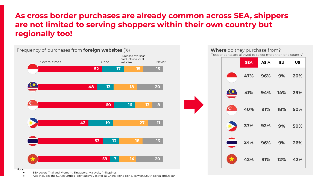#### **As cross border purchases are already common across SEA, shippers are not limited to serving shoppers within their own country but regionally too!**





#### **Note:**

- SEA covers Thailand, Vietnam, Singapore, Malaysia, Philippines
- Asia includes the SEA countries (point above), as well as China, Hong Kong, Taiwan, South Korea and Japan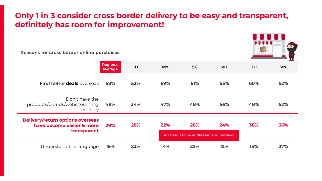#### **Only 1 in 3 consider cross border delivery to be easy and transparent, definitely has room for improvement!**

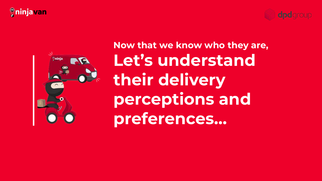## *<u>*ninjavan</u>





**Now that we know who they are, Let's understand their delivery perceptions and preferences…**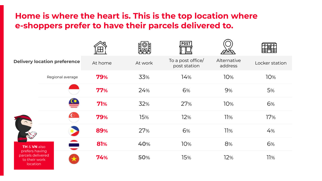### **Home is where the heart is. This is the top location where e-shoppers prefer to have their parcels delivered to.**

|                                                                                             |                  |         |         | <b>POST</b>                       |                        |                |
|---------------------------------------------------------------------------------------------|------------------|---------|---------|-----------------------------------|------------------------|----------------|
| <b>Delivery location preference</b>                                                         |                  | At home | At work | To a post office/<br>post station | Alternative<br>address | Locker station |
| <b>TH &amp; VN also</b><br>prefers having<br>parcels delivered<br>to their work<br>location | Regional average | 79%     | 33%     | 14%                               | 10%                    | 10%            |
|                                                                                             |                  | 77%     | 24%     | 6%                                | 9%                     | 5%             |
|                                                                                             |                  | 71%     | 32%     | 27%                               | 10%                    | 6%             |
|                                                                                             | $\mathbf C$      | 79%     | 15%     | 12%                               | 11%                    | 17%            |
|                                                                                             |                  | 89%     | 27%     | 6%                                | 11%                    | 4%             |
|                                                                                             | e e              | 81%     | 40%     | 10%                               | 8%                     | 6%             |
|                                                                                             |                  | 74%     | 50%     | 15%                               | 12%                    | 11%            |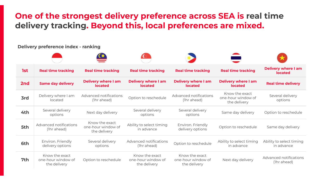### **One of the strongest delivery preference across SEA is real time delivery tracking. Beyond this, local preferences are mixed.**

**Delivery preference index - ranking 1st Real time tracking Real time tracking Real time tracking Real time tracking Real time tracking Delivery where I am located 2nd Same day delivery Delivery where I am located Delivery where I am located Delivery where I am located Delivery where I am located Real time delivery 3rd** Delivery where I am located Advanced notifications (1) aced notifications option to reschedule Advanced notifications<br>(1) a head) (1) a head (1hr ahead) Know the exact one-hour window of the delivery Several delivery options **4th** Several delivery Next day delivery Several delivery options Several delivery eral delivery<br>options same day delivery option to reschedule **5th** Advanced notifications (1hr ahead) Know the exact one-hour window of the delivery Ability to select timing in advance Environ. Friendly Environ. Friendiy<br>delivery options option to reschedule Same day delivery **6th** Environ. Friendly delivery options Several delivery options Advanced notifications (1) inced notifications coption to reschedule ability to select timing<br>(1) in advance in advance Ability to select timing in advance **7th** Know the exact one-hour window of the delivery Option to reschedule Know the exact one-hour window of the delivery Know the exact one-hour window of the delivery Next day delivery Advanced notifications (1hr ahead)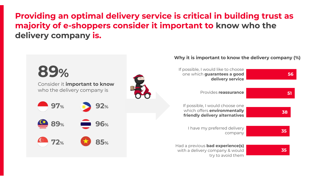**Providing an optimal delivery service is critical in building trust as majority of e-shoppers consider it important to know who the delivery company is.** 

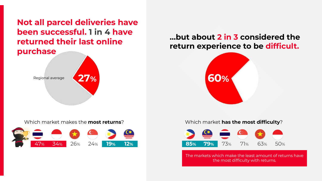**Not all parcel deliveries have been successful. 1 in 4 have returned their last online purchase**



Which market makes the **most returns**?



#### **…but about 2 in 3 considered the return experience to be difficult.**



#### Which market **has the most difficulty**?



The markets which make the least amount of returns have the most difficulty with returns.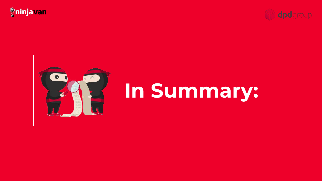





# **In Summary:**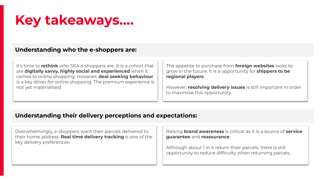## **Key takeaways….**

#### **Understanding who the e-shoppers are:**

It's time to **rethink** who SEA e-shoppers are. It is a cohort that are **digitally savvy, highly social and experienced** when it comes to online shopping. However, **deal seeking behaviour** is a key driver for online shopping. The premium experience is not yet materialised.

The appetite to purchase from **foreign websites** looks to grow in the future. It is a opportunity for **shippers to be regional players**.

However, **resolving delivery issues** is still important in order to maximise this opportunity.

#### **Understanding their delivery perceptions and expectations:**

Overwhelmingly, e-shoppers want their parcels delivered to their home address. **Real time delivery tracking** is one of the key delivery preferences.

Raising **brand awareness** is critical as it is a source of **service guarantee** and **reassurance**.

Although about 1 in 4 return their parcels, there is still opportunity to reduce difficulty when returning parcels.